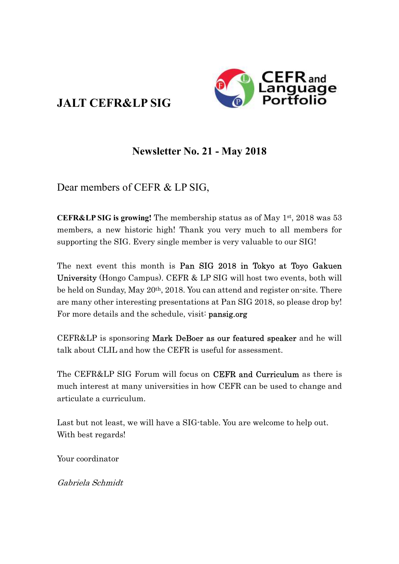# JALT CEFR&LP SIG



## Newsletter No. 21 - May 2018

Dear members of CEFR & LP SIG,

**CEFR&LP SIG is growing!** The membership status as of May  $1^{st}$ , 2018 was 53 members, a new historic high! Thank you very much to all members for supporting the SIG. Every single member is very valuable to our SIG!

The next event this month is Pan SIG 2018 in Tokyo at Toyo Gakuen University (Hongo Campus). CEFR & LP SIG will host two events, both will be held on Sunday, May 20th, 2018. You can attend and register on-site. There are many other interesting presentations at Pan SIG 2018, so please drop by! For more details and the schedule, visit: **pansig.org** 

CEFR&LP is sponsoring Mark DeBoer as our featured speaker and he will talk about CLIL and how the CEFR is useful for assessment.

The CEFR&LP SIG Forum will focus on **CEFR and Curriculum** as there is much interest at many universities in how CEFR can be used to change and articulate a curriculum.

Last but not least, we will have a SIG-table. You are welcome to help out. With best regards!

Your coordinator

Gabriela Schmidt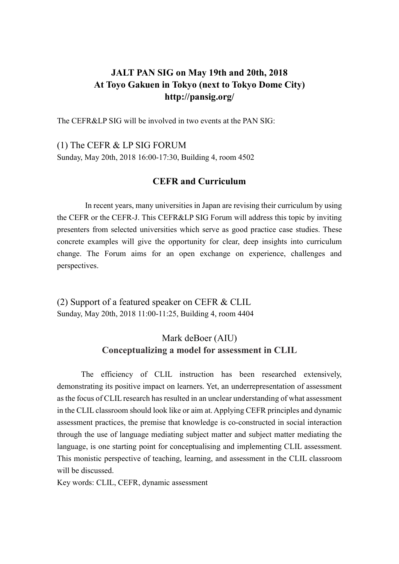## JALT PAN SIG on May 19th and 20th, 2018 At Toyo Gakuen in Tokyo (next to Tokyo Dome City) http://pansig.org/

The CEFR&LP SIG will be involved in two events at the PAN SIG:

(1) The CEFR & LP SIG FORUM

Sunday, May 20th, 2018 16:00-17:30, Building 4, room 4502

#### CEFR and Curriculum

In recent years, many universities in Japan are revising their curriculum by using the CEFR or the CEFR-J. This CEFR&LP SIG Forum will address this topic by inviting presenters from selected universities which serve as good practice case studies. These concrete examples will give the opportunity for clear, deep insights into curriculum change. The Forum aims for an open exchange on experience, challenges and perspectives.

(2) Support of a featured speaker on CEFR & CLIL Sunday, May 20th, 2018 11:00-11:25, Building 4, room 4404

### Mark deBoer (AIU) Conceptualizing a model for assessment in CLIL

The efficiency of CLIL instruction has been researched extensively, demonstrating its positive impact on learners. Yet, an underrepresentation of assessment as the focus of CLIL research has resulted in an unclear understanding of what assessment in the CLIL classroom should look like or aim at. Applying CEFR principles and dynamic assessment practices, the premise that knowledge is co-constructed in social interaction through the use of language mediating subject matter and subject matter mediating the language, is one starting point for conceptualising and implementing CLIL assessment. This monistic perspective of teaching, learning, and assessment in the CLIL classroom will be discussed.

Key words: CLIL, CEFR, dynamic assessment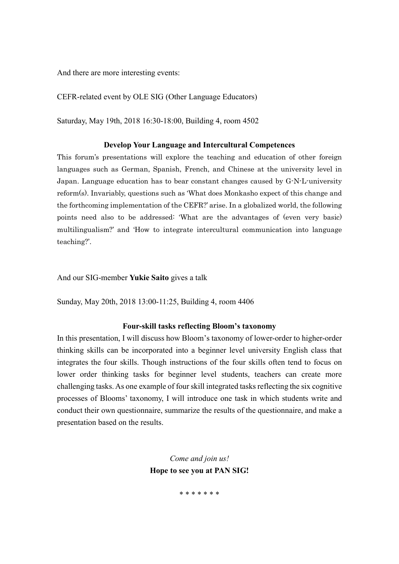And there are more interesting events:

CEFR-related event by OLE SIG (Other Language Educators)

Saturday, May 19th, 2018 16:30-18:00, Building 4, room 4502

#### Develop Your Language and Intercultural Competences

This forum's presentations will explore the teaching and education of other foreign languages such as German, Spanish, French, and Chinese at the university level in Japan. Language education has to bear constant changes caused by G-N-L-university reform(s). Invariably, questions such as 'What does Monkasho expect of this change and the forthcoming implementation of the CEFR?' arise. In a globalized world, the following points need also to be addressed: 'What are the advantages of (even very basic) multilingualism?' and 'How to integrate intercultural communication into language teaching?'.

And our SIG-member Yukie Saito gives a talk

Sunday, May 20th, 2018 13:00-11:25, Building 4, room 4406

#### Four-skill tasks reflecting Bloom's taxonomy

In this presentation, I will discuss how Bloom's taxonomy of lower-order to higher-order thinking skills can be incorporated into a beginner level university English class that integrates the four skills. Though instructions of the four skills often tend to focus on lower order thinking tasks for beginner level students, teachers can create more challenging tasks. As one example of four skill integrated tasks reflecting the six cognitive processes of Blooms' taxonomy, I will introduce one task in which students write and conduct their own questionnaire, summarize the results of the questionnaire, and make a presentation based on the results.

> Come and join us! Hope to see you at PAN SIG!

> > \* \* \* \* \* \* \*